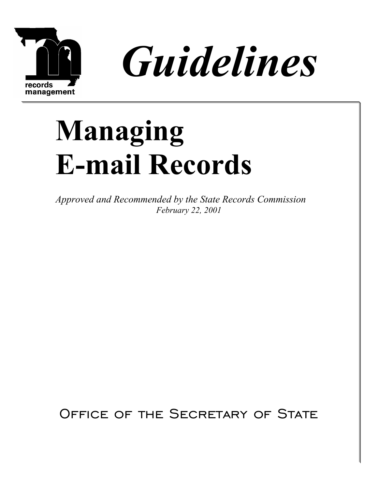



# **Managing E-mail Records**

*Approved and Recommended by the State Records Commission February 22, 2001*

OFFICE OF THE SECRETARY OF STATE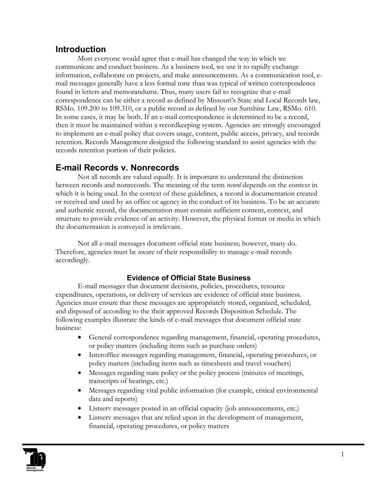## **Introduction**

Most everyone would agree that e-mail has changed the way in which we communicate and conduct business. As a business tool, we use it to rapidly exchange information, collaborate on projects, and make announcements. As a communication tool, email messages generally have a less formal tone than was typical of written correspondence found in letters and memorandums. Thus, many users fail to recognize that e-mail correspondence can be either a record as defined by Missouri's State and Local Records law, RSMo. 109.200 to 109.310, or a public record as defined by our Sunshine Law, RSMo. 610. In some cases, it may be both. If an e-mail correspondence is determined to be a record, then it must be maintained within a recordkeeping system. Agencies are strongly encouraged to implement an e-mail policy that covers usage, content, public access, privacy, and records retention. Records Management designed the following standard to assist agencies with the records retention portion of their policies.

# **E-mail Records v. Nonrecords**

Not all records are valued equally. It is important to understand the distinction between records and nonrecords. The meaning of the term *record* depends on the context in which it is being used. In the context of these guidelines, a record is documentation created or received and used by an office or agency in the conduct of its business. To be an accurate and authentic record, the documentation must contain sufficient content, context, and structure to provide evidence of an activity. However, the physical format or media in which the documentation is conveyed is irrelevant.

Not all e-mail messages document official state business; however, many do. Therefore, agencies must be aware of their responsibility to manage e-mail records accordingly.

### **Evidence of Official State Business**

E-mail messages that document decisions, policies, procedures, resource expenditures, operations, or delivery of services are evidence of official state business. Agencies must ensure that these messages are appropriately stored, organized, scheduled, and disposed of according to the their approved Records Disposition Schedule. The following examples illustrate the kinds of e-mail messages that document official state business:

- General correspondence regarding management, financial, operating procedures, or policy matters (including items such as purchase orders)
- Interoffice messages regarding management, financial, operating procedures, or policy matters (including items such as timesheets and travel vouchers)
- Messages regarding state policy or the policy process (minutes of meetings, transcripts of hearings, etc.)
- Messages regarding vital public information (for example, critical environmental data and reports)
- Listserv messages posted in an official capacity (job announcements, etc.)
- Listserv messages that are relied upon in the development of management, financial, operating procedures, or policy matters

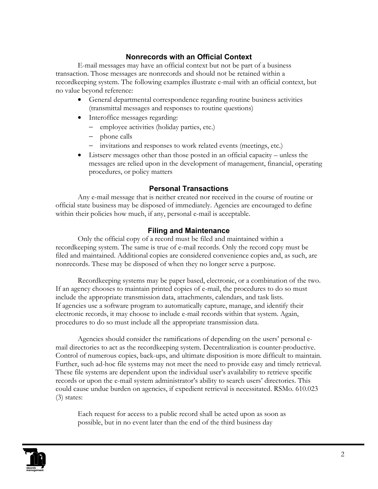#### **Nonrecords with an Official Context**

E-mail messages may have an official context but not be part of a business transaction. Those messages are nonrecords and should not be retained within a recordkeeping system. The following examples illustrate e-mail with an official context, but no value beyond reference:

- General departmental correspondence regarding routine business activities (transmittal messages and responses to routine questions)
- Interoffice messages regarding:
	- − employee activities (holiday parties, etc.)
	- − phone calls
	- − invitations and responses to work related events (meetings, etc.)
- Listserv messages other than those posted in an official capacity unless the messages are relied upon in the development of management, financial, operating procedures, or policy matters

#### **Personal Transactions**

Any e-mail message that is neither created nor received in the course of routine or official state business may be disposed of immediately. Agencies are encouraged to define within their policies how much, if any, personal e-mail is acceptable.

#### **Filing and Maintenance**

Only the official copy of a record must be filed and maintained within a recordkeeping system. The same is true of e-mail records. Only the record copy must be filed and maintained. Additional copies are considered convenience copies and, as such, are nonrecords. These may be disposed of when they no longer serve a purpose.

Recordkeeping systems may be paper based, electronic, or a combination of the two. If an agency chooses to maintain printed copies of e-mail, the procedures to do so must include the appropriate transmission data, attachments, calendars, and task lists. If agencies use a software program to automatically capture, manage, and identify their electronic records, it may choose to include e-mail records within that system. Again, procedures to do so must include all the appropriate transmission data.

Agencies should consider the ramifications of depending on the users' personal email directories to act as the recordkeeping system. Decentralization is counter-productive. Control of numerous copies, back-ups, and ultimate disposition is more difficult to maintain. Further, such ad-hoc file systems may not meet the need to provide easy and timely retrieval. These file systems are dependent upon the individual user's availability to retrieve specific records or upon the e-mail system administrator's ability to search users' directories. This could cause undue burden on agencies, if expedient retrieval is necessitated. RSMo. 610.023 (3) states:

Each request for access to a public record shall be acted upon as soon as possible, but in no event later than the end of the third business day

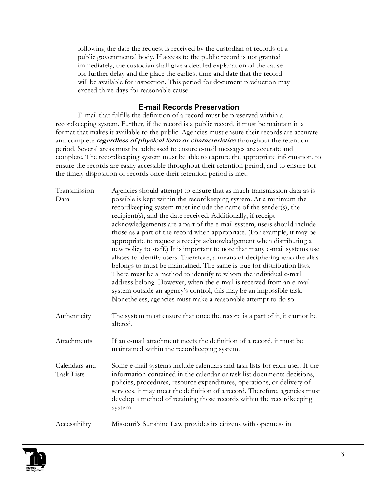following the date the request is received by the custodian of records of a public governmental body. If access to the public record is not granted immediately, the custodian shall give a detailed explanation of the cause for further delay and the place the earliest time and date that the record will be available for inspection. This period for document production may exceed three days for reasonable cause.

#### **E-mail Records Preservation**

E-mail that fulfills the definition of a record must be preserved within a recordkeeping system. Further, if the record is a public record, it must be maintain in a format that makes it available to the public. Agencies must ensure their records are accurate and complete **regardless of physical form or characteristics** throughout the retention period. Several areas must be addressed to ensure e-mail messages are accurate and complete. The recordkeeping system must be able to capture the appropriate information, to ensure the records are easily accessible throughout their retention period, and to ensure for the timely disposition of records once their retention period is met.

| Transmission                | Agencies should attempt to ensure that as much transmission data as is                                                                                                                                                                                                                                                                                                                                                                                                                                                                                                                                                                                                                                                                               |
|-----------------------------|------------------------------------------------------------------------------------------------------------------------------------------------------------------------------------------------------------------------------------------------------------------------------------------------------------------------------------------------------------------------------------------------------------------------------------------------------------------------------------------------------------------------------------------------------------------------------------------------------------------------------------------------------------------------------------------------------------------------------------------------------|
| Data                        | possible is kept within the recordkeeping system. At a minimum the                                                                                                                                                                                                                                                                                                                                                                                                                                                                                                                                                                                                                                                                                   |
|                             | recordkeeping system must include the name of the sender(s), the                                                                                                                                                                                                                                                                                                                                                                                                                                                                                                                                                                                                                                                                                     |
|                             | recipient(s), and the date received. Additionally, if receipt                                                                                                                                                                                                                                                                                                                                                                                                                                                                                                                                                                                                                                                                                        |
|                             | acknowledgements are a part of the e-mail system, users should include<br>those as a part of the record when appropriate. (For example, it may be<br>appropriate to request a receipt acknowledgement when distributing a<br>new policy to staff.) It is important to note that many e-mail systems use<br>aliases to identify users. Therefore, a means of deciphering who the alias<br>belongs to must be maintained. The same is true for distribution lists.<br>There must be a method to identify to whom the individual e-mail<br>address belong. However, when the e-mail is received from an e-mail<br>system outside an agency's control, this may be an impossible task.<br>Nonetheless, agencies must make a reasonable attempt to do so. |
| Authenticity                | The system must ensure that once the record is a part of it, it cannot be<br>altered.                                                                                                                                                                                                                                                                                                                                                                                                                                                                                                                                                                                                                                                                |
| Attachments                 | If an e-mail attachment meets the definition of a record, it must be<br>maintained within the recordkeeping system.                                                                                                                                                                                                                                                                                                                                                                                                                                                                                                                                                                                                                                  |
| Calendars and<br>Task Lists | Some e-mail systems include calendars and task lists for each user. If the<br>information contained in the calendar or task list documents decisions,<br>policies, procedures, resource expenditures, operations, or delivery of<br>services, it may meet the definition of a record. Therefore, agencies must<br>develop a method of retaining those records within the recordkeeping<br>system.                                                                                                                                                                                                                                                                                                                                                    |
| Accessibility               | Missouri's Sunshine Law provides its citizens with openness in                                                                                                                                                                                                                                                                                                                                                                                                                                                                                                                                                                                                                                                                                       |